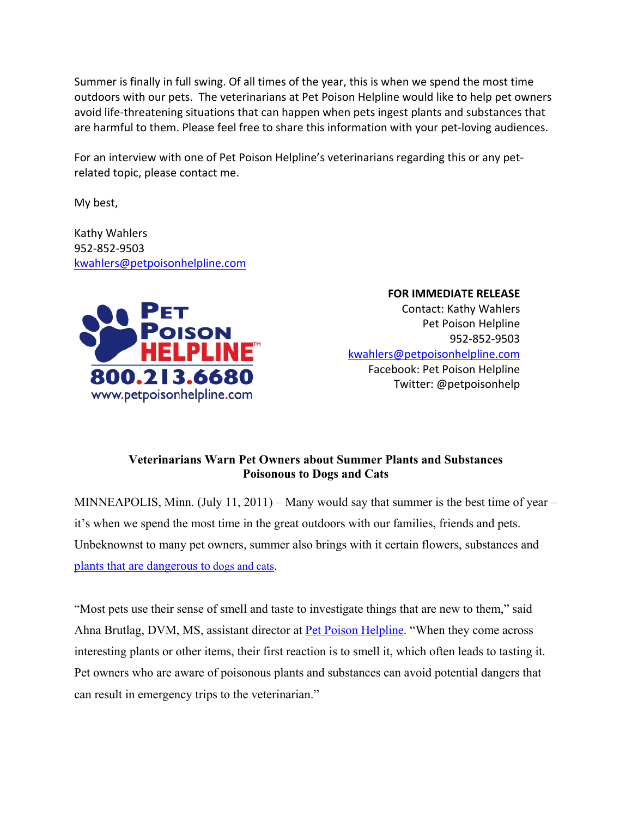Summer is finally in full swing. Of all times of the year, this is when we spend the most time outdoors with our pets. The veterinarians at Pet Poison Helpline would like to help pet owners avoid life-threatening situations that can happen when pets ingest plants and substances that are harmful to them. Please feel free to share this information with your pet‐loving audiences.

For an interview with one of Pet Poison Helpline's veterinarians regarding this or any pet‐ related topic, please contact me.

My best,

Kathy Wahlers 952‐852‐9503 [kwahlers@petpoisonhelpline.com](mailto:kwahlers@petpoisonhelpline.com)



 **FOR IMMEDIATE RELEASE** Contact: Kathy Wahlers Pet Poison Helpline 952‐852‐9503 [kwahlers@petpoisonhelpline.com](mailto:kwahlers@petpoisonhelpline.com) Facebook: Pet Poison Helpline Twitter: @petpoisonhelp

# **Veterinarians Warn Pet Owners about Summer Plants and Substances Poisonous to Dogs and Cats**

MINNEAPOLIS, Minn. (July 11, 2011) – Many would say that summer is the best time of year – it's when we spend the most time in the great outdoors with our families, friends and pets. Unbeknownst to many pet owners, summer also brings with it certain flowers, substances and [plants that are dangerous to](http://www.petpoisonhelpline.com/pet-poisons/top-10-plants-poisonous-to/) dogs and cats.

"Most pets use their sense of smell and taste to investigate things that are new to them," said Ahna Brutlag, DVM, MS, assistant director at [Pet Poison Helpline](http://www.petpoisonhelpline.com/). "When they come across interesting plants or other items, their first reaction is to smell it, which often leads to tasting it. Pet owners who are aware of poisonous plants and substances can avoid potential dangers that can result in emergency trips to the veterinarian."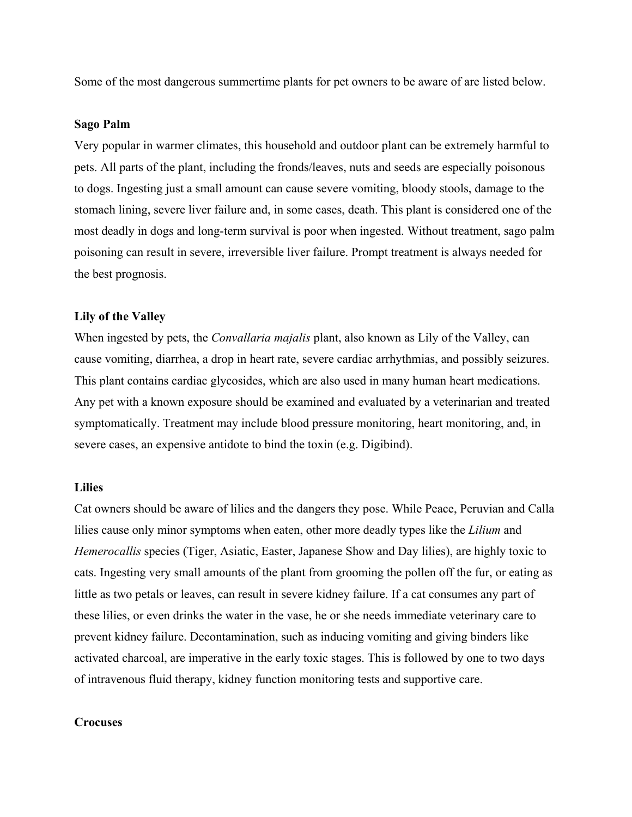Some of the most dangerous summertime plants for pet owners to be aware of are listed below.

## **Sago Palm**

Very popular in warmer climates, this household and outdoor plant can be extremely harmful to pets. All parts of the plant, including the fronds/leaves, nuts and seeds are especially poisonous to dogs. Ingesting just a small amount can cause severe vomiting, bloody stools, damage to the stomach lining, severe liver failure and, in some cases, death. This plant is considered one of the most deadly in dogs and long-term survival is poor when ingested. Without treatment, sago palm poisoning can result in severe, irreversible liver failure. Prompt treatment is always needed for the best prognosis.

#### **Lily of the Valley**

When ingested by pets, the *Convallaria majalis* plant, also known as Lily of the Valley, can cause vomiting, diarrhea, a drop in heart rate, severe cardiac arrhythmias, and possibly seizures. This plant contains cardiac glycosides, which are also used in many human heart medications. Any pet with a known exposure should be examined and evaluated by a veterinarian and treated symptomatically. Treatment may include blood pressure monitoring, heart monitoring, and, in severe cases, an expensive antidote to bind the toxin (e.g. Digibind).

# **Lilies**

Cat owners should be aware of lilies and the dangers they pose. While Peace, Peruvian and Calla lilies cause only minor symptoms when eaten, other more deadly types like the *Lilium* and *Hemerocallis* species (Tiger, Asiatic, Easter, Japanese Show and Day lilies), are highly toxic to cats. Ingesting very small amounts of the plant from grooming the pollen off the fur, or eating as little as two petals or leaves, can result in severe kidney failure. If a cat consumes any part of these lilies, or even drinks the water in the vase, he or she needs immediate veterinary care to prevent kidney failure. Decontamination, such as inducing vomiting and giving binders like activated charcoal, are imperative in the early toxic stages. This is followed by one to two days of intravenous fluid therapy, kidney function monitoring tests and supportive care.

## **Crocuses**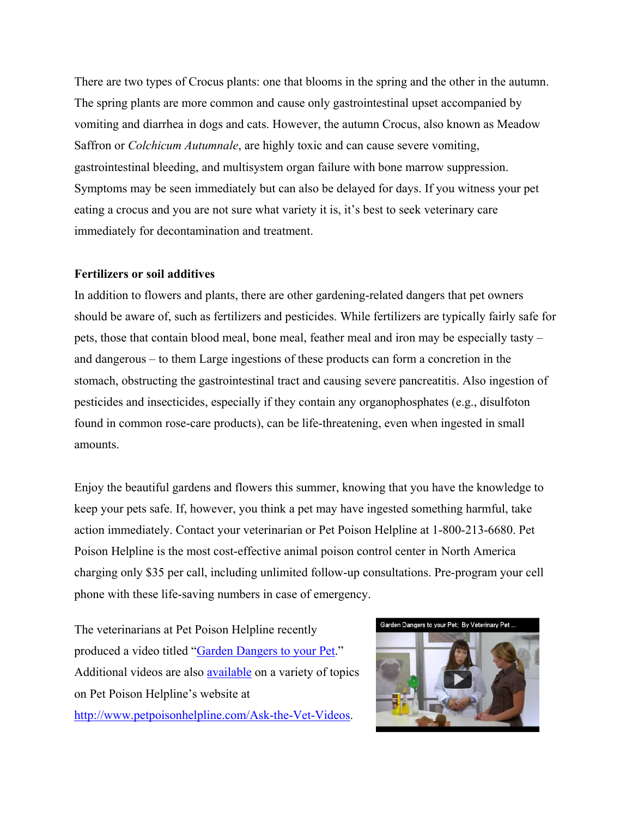There are two types of Crocus plants: one that blooms in the spring and the other in the autumn. The spring plants are more common and cause only gastrointestinal upset accompanied by vomiting and diarrhea in dogs and cats. However, the autumn Crocus, also known as Meadow Saffron or *Colchicum Autumnale*, are highly toxic and can cause severe vomiting, gastrointestinal bleeding, and multisystem organ failure with bone marrow suppression. Symptoms may be seen immediately but can also be delayed for days. If you witness your pet eating a crocus and you are not sure what variety it is, it's best to seek veterinary care immediately for decontamination and treatment.

## **Fertilizers or soil additives**

In addition to flowers and plants, there are other gardening-related dangers that pet owners should be aware of, such as fertilizers and pesticides. While fertilizers are typically fairly safe for pets, those that contain blood meal, bone meal, feather meal and iron may be especially tasty – and dangerous – to them Large ingestions of these products can form a concretion in the stomach, obstructing the gastrointestinal tract and causing severe pancreatitis. Also ingestion of pesticides and insecticides, especially if they contain any organophosphates (e.g., disulfoton found in common rose-care products), can be life-threatening, even when ingested in small amounts.

Enjoy the beautiful gardens and flowers this summer, knowing that you have the knowledge to keep your pets safe. If, however, you think a pet may have ingested something harmful, take action immediately. Contact your veterinarian or Pet Poison Helpline at 1-800-213-6680. Pet Poison Helpline is the most cost-effective animal poison control center in North America charging only \$35 per call, including unlimited follow-up consultations. Pre-program your cell phone with these life-saving numbers in case of emergency.

The veterinarians at Pet Poison Helpline recently produced a video titled "[Garden Dangers to your Pet.](http://petpoisonhelpline.com/Dog-and-Cat-Poisons/outdoor-toxins/)" Additional videos are also [available](http://www.petpoisonhelpline.com/Ask-the-Vet-Videos) on a variety of topics on Pet Poison Helpline's website at <http://www.petpoisonhelpline.com/Ask-the-Vet-Videos>.